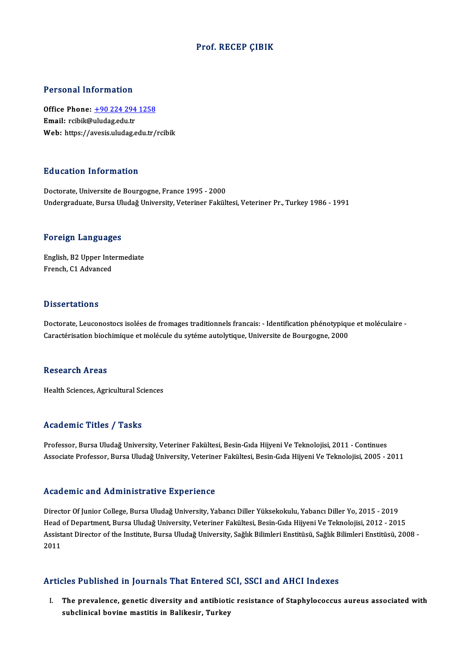# Prof. RECEP ÇIBIK

# Personal Information

Personal Information<br>Office Phone: <u>+90 224 294 1258</u><br>Email: reibit@uludes.edu.tr Procession Internation<br>Office Phone: <u>+90 224 294</u><br>Email: rcibik@uludag.edu.tr Email: rcibik@uludag.edu.tr<br>Web: https://a[vesis.uludag.edu.tr/](tel:+90 224 294 1258)rcibik

# Education Information

Doctorate, Universite de Bourgogne, France 1995 - 2000 Undergraduate, Bursa Uludağ University, Veteriner Fakültesi, Veteriner Pr., Turkey 1986 - 1991

### Foreign Languages

Foreign Languages<br>English, B2 Upper Intermediate<br>Enangh C1 Advanced French, B2 Upper Inte<br>French, C1 Advanced French, C1 Advanced<br>Dissertations

Dissertations<br>Doctorate, Leuconostocs isolées de fromages traditionnels francais: - Identification phénotypique et moléculaire -<br>Caractérisation biosbimique et molécule du sytéme autolytique Universite de Bourgegne, 2000. Caractérisations<br>Doctorate, Leuconostocs isolées de fromages traditionnels francais: - Identification phénotypiqu<br>Caractérisation biochimique et molécule du sytéme autolytique, Universite de Bourgogne, 2000 Caractérisation biochimique et molécule du sytéme autolytique, Universite de Bourgogne, 2000<br>Research Areas

Health Sciences, Agricultural Sciences

# Academic Titles / Tasks

Professor, Bursa Uludağ University, Veteriner Fakültesi, Besin-Gıda Hijyeni Ve Teknolojisi, 2011 - Continues Associate Professor, Bursa Uludağ University, Veteriner Fakültesi, Besin-Gıda Hijyeni Ve Teknolojisi, 2005 - 2011

# Academic and Administrative Experience

Director Of Junior College, Bursa Uludağ University, Yabancı Diller Yüksekokulu, Yabancı Diller Yo, 2015 - 2019 Head of Department, Bursa Uludağ University, Veteriner Fakültesi, Besin-Gıda Hijyeni Ve Teknolojisi, 2012 - 2015 Director Of Junior College, Bursa Uludağ University, Yabancı Diller Yüksekokulu, Yabancı Diller Yo, 2015 - 2019<br>Head of Department, Bursa Uludağ University, Veteriner Fakültesi, Besin-Gıda Hijyeni Ve Teknolojisi, 2012 - 20 Head<br>Assist<br>2011 Articles Published in Journals That Entered SCI, SSCI and AHCI Indexes

rticles Published in Journals That Entered SCI, SSCI and AHCI Indexes<br>I. The prevalence, genetic diversity and antibiotic resistance of Staphylococcus aureus associated with<br>aubeliniaal bevine meetitie in Belikeein Tunkey stes a dishibited in journals and intered by<br>The prevalence, genetic diversity and antibioti<br>subclinical bovine mastitis in Balikesir, Turkey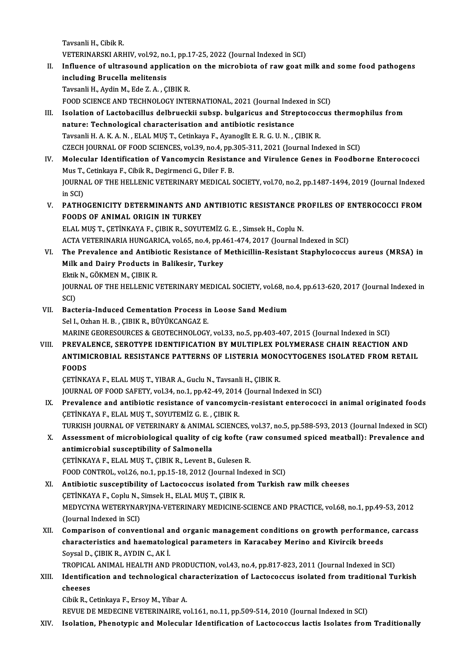Tavsanli H., Cibik R. Tavsanli H., Cibik R.<br>VETERINARSKI ARHIV, vol.92, no.1, pp.17-25, 2022 (Journal Indexed in SCI)<br>Influence of ultressund application on the microbiste of rew sost n

II. Influence of ultrasound application on the microbiota of raw goat milk and some food pathogens including Brucella melitensis VETERINARSKI ARHIV, vol.92, no<br>Influence of ultrasound appli<br>including Brucella melitensis<br>Tavsanli H. Avdin M. Eda 7. A. G Tavsanli H., Aydin M., Ede Z.A., ÇIBIK R. i<mark>ncluding Brucella melitensis</mark><br>Tavsanli H., Aydin M., Ede Z. A. , ÇIBIK R.<br>FOOD SCIENCE AND TECHNOLOGY INTERNATIONAL, 2021 (Journal Indexed in SCI)<br>Isolation of Lastebasillus delbrueskij subsp. bulserisus and Straptesessu

- Tavsanli H., Aydin M., Ede Z. A. , ÇIBIK R.<br>FOOD SCIENCE AND TECHNOLOGY INTERNATIONAL, 2021 (Journal Indexed in SCI)<br>III. Isolation of Lactobacillus delbrueckii subsp. bulgaricus and Streptococcus thermophilus from<br>nature: FOOD SCIENCE AND TECHNOLOGY INTERNATIONAL, 2021 (Journal Inde<br>Isolation of Lactobacillus delbrueckii subsp. bulgaricus and Stre<br>nature: Technological characterisation and antibiotic resistance<br>Tavsanli H A K A N - ELAL MUS Isolation of Lactobacillus delbrueckii subsp. bulgaricus and Streptococondure: Technological characterisation and antibiotic resistance<br>Tavsanli H. A. K. A. N. , ELAL MUŞ T., Cetinkaya F., Ayanogllt E. R. G. U. N. , ÇIBIK nature: Technological characterisation and antibiotic resistance<br>Tavsanli H. A. K. A. N. , ELAL MUŞ T., Cetinkaya F., Ayanogllt E. R. G. U. N. , ÇIBIK R.<br>CZECH JOURNAL OF FOOD SCIENCES, vol.39, no.4, pp.305-311, 2021 (Jour Tavsanli H. A. K. A. N. , ELAL MUŞ T., Cetinkaya F., Ayanogllt E. R. G. U. N. , ÇIBIK R.<br>CZECH JOURNAL OF FOOD SCIENCES, vol.39, no.4, pp.305-311, 2021 (Journal Indexed in SCI)<br>IV. Molecular Identification of Vancomycin Re
- CZECH JOURNAL OF FOOD SCIENCES, vol.39, no.4, pp.:<br>Molecular Identification of Vancomycin Resistal<br>Mus T., Cetinkaya F., Cibik R., Degirmenci G., Diler F. B.<br>JOURNAL OF THE HELLENIC VETERINARY MEDICAL S Molecular Identification of Vancomycin Resistance and Virulence Genes in Foodborne Enterococci<br>Mus T., Cetinkaya F., Cibik R., Degirmenci G., Diler F. B.<br>JOURNAL OF THE HELLENIC VETERINARY MEDICAL SOCIETY, vol.70, no.2, pp Mus T., Cetinkaya F., Cibik R., Degirmenci G., Diler F. B.<br>JOURNAL OF THE HELLENIC VETERINARY MEDICAL SOCIETY, vol.70, no.2, pp.1487-1494, 2019 (Journal Indexed<br>in SCI) JOURNAL OF THE HELLENIC VETERINARY MEDICAL SOCIETY, vol.70, no.2, pp.1487-1494, 2019 (Journal Indexed<br>in SCI)<br>V. PATHOGENICITY DETERMINANTS AND ANTIBIOTIC RESISTANCE PROFILES OF ENTEROCOCCI FROM<br>FOODS OF ANIMAL ORIGIN IN T
- in SCI)<br>PATHOGENICITY DETERMINANTS AND<br>FOODS OF ANIMAL ORIGIN IN TURKEY<br>ELAL MUS T. CETINKAYA E. CIPIK B. SOVIT PATHOGENICITY DETERMINANTS AND ANTIBIOTIC RESISTANCE PF<br>FOODS OF ANIMAL ORIGIN IN TURKEY<br>ELAL MUŞT., ÇETİNKAYA F., ÇIBIK R., SOYUTEMİZ G. E. , Simsek H., Coplu N.<br>ACTA VETERINARIA HINCARICA YOLEE PR 4 PR 451 474 2017 (Jour

FOODS OF ANIMAL ORIGIN IN TURKEY<br>ELAL MUŞ T., ÇETİNKAYA F., ÇIBIK R., SOYUTEMİZ G. E. , Simsek H., Coplu N.<br>ACTA VETERINARIA HUNGARICA, vol.65, no.4, pp.461-474, 2017 (Journal Indexed in SCI) ELAL MUŞ T., ÇETİNKAYA F., ÇIBIK R., SOYUTEMİZ G. E. , Simsek H., Coplu N.<br>ACTA VETERINARIA HUNGARICA, vol.65, no.4, pp.461-474, 2017 (Journal Indexed in SCI)<br>VI. The Prevalence and Antibiotic Resistance of Methicillin-Res

- ACTA VETERINARIA HUNGARICA, vol.65, no.4, pp.4<br>The Prevalence and Antibiotic Resistance of J<br>Milk and Dairy Products in Balikesir, Turkey<br>Fltik N. CÖVMEN M. CIBIK B The Prevalence and Antibi<br>Milk and Dairy Products in<br>Ektik N., GÖKMEN M., ÇIBIK R.<br>JOUPNAL OF THE HELLENIC V Milk and Dairy Products in Balikesir, Turkey<br>Ektik N., GÖKMEN M., ÇIBIK R.<br>JOURNAL OF THE HELLENIC VETERINARY MEDICAL SOCIETY, vol.68, no.4, pp.613-620, 2017 (Journal Indexed in<br>SCI) Ektik N., GÖKMEN M., ÇIBIK R. JOURNAL OF THE HELLENIC VETERINARY MEDICAL SOCIETY, vol.68, not<br>SCI)<br>VII. Bacteria-Induced Cementation Process in Loose Sand Medium<br>Sel LOTERE P. CIEIK B. PÜVÜKCANCAZ F
- SCI)<br><mark>Bacteria-Induced Cementation Process in</mark><br>Sel I., Ozhan H. B. , ÇIBIK R., BÜYÜKCANGAZ E.<br>MARINE CEORESQURCES & CEOTECHNOLOCY Bacteria-Induced Cementation Process in Loose Sand Medium<br>Sel I., Ozhan H. B. , ÇIBIK R., BÜYÜKCANGAZ E.<br>MARINE GEORESOURCES & GEOTECHNOLOGY, vol.33, no.5, pp.403-407, 2015 (Journal Indexed in SCI)<br>PREVALENCE, SEROTVRE IDE Sel I., Ozhan H. B. , ÇIBIK R., BÜYÜKCANGAZ E.<br>MARINE GEORESOURCES & GEOTECHNOLOGY, vol.33, no.5, pp.403-407, 2015 (Journal Indexed in SCI)<br>VIII. PREVALENCE, SEROTYPE IDENTIFICATION BY MULTIPLEX POLYMERASE CHAIN REACTION A
- MARINE GEORESOURCES & GEOTECHNOLOGY, vol.33, no.5, pp.403-407, 2015 (Journal Indexed in SCI)<br>PREVALENCE, SEROTYPE IDENTIFICATION BY MULTIPLEX POLYMERASE CHAIN REACTION AND<br>ANTIMICROBIAL RESISTANCE PATTERNS OF LISTERIA MONO VIII. PREVALENCE, SEROTYPE IDENTIFICATION BY MULTIPLEX POLYMERASE CHAIN REACTION AND<br>ANTIMICROBIAL RESISTANCE PATTERNS OF LISTERIA MONOCYTOGENES ISOLATED FROM RETAIL<br>FOODS

ÇETİNKAYA F., ELAL MUŞ T., YIBAR A., Guclu N., Tavsanli H., ÇIBIK R. JOURNAL OF FOOD SAFETY, vol.34, no.1, pp.42-49, 2014 (Journal Indexed in SCI)

- CETİNKAYA F., ELAL MUŞ T., YIBAR A., Guclu N., Tavsanli H., ÇIBIK R.<br>JOURNAL OF FOOD SAFETY, vol.34, no.1, pp.42-49, 2014 (Journal Indexed in SCI)<br>IX. Prevalence and antibiotic resistance of vancomycin-resistant enterococc JOURNAL OF FOOD SAFETY, vol.34, no.1, pp.42-49, 2014<br>Prevalence and antibiotic resistance of vancomyc<br>CETİNKAYA F., ELAL MUŞ T., SOYUTEMİZ G. E. , ÇIBIK R.<br>TURKIYA JOURNAL OF VETERINARY & ANIMAL SCIENC Prevalence and antibiotic resistance of vancomycin-resistant enterococci in animal originated foods<br>CETİNKAYA F., ELAL MUŞ T., SOYUTEMİZ G. E. , ÇIBIK R.<br>TURKISH JOURNAL OF VETERINARY & ANIMAL SCIENCES, vol.37, no.5, pp.58
- CETINKAYA F., ELAL MUŞ T., SOYUTEMIZ G. E. , ÇIBIK R.<br>TURKISH JOURNAL OF VETERINARY & ANIMAL SCIENCES, vol.37, no.5, pp.588-593, 2013 (Journal Indexed in SCI)<br>X. Assessment of microbiological quality of cig kofte (raw cons TURKISH JOURNAL OF VETERINARY & ANIMAL<br>Assessment of microbiological quality of continicrobial susceptibility of Salmonella<br>CETINVAVA E. ELAL MUS T. CIPIV B. Lovent B. X. Assessment of microbiological quality of cig kofte (raw consumed spiced meatball): Prevalence and<br>antimicrobial susceptibility of Salmonella<br>CETİNKAYA F., ELAL MUŞ T., CIBIK R., Levent B., Gulesen R. antimicrobial susceptibility of Salmonella<br>ÇETİNKAYA F., ELAL MUŞ T., ÇIBIK R., Levent B., Gulesen R.<br>FOOD CONTROL, vol.26, no.1, pp.15-18, 2012 (Journal Indexed in SCI)<br>Antibiotis sussentibility of Lastesessus isolated fr

XI. Antibiotic susceptibility of Lactococcus isolated from Turkish raw milk cheeses<br>CETINKAYA F., Coplu N., Simsek H., ELAL MUS T., CIBIK R. FOOD CONTROL, vol.26, no.1, pp.15-18, 2012 (Journal Ind<br>Antibiotic susceptibility of Lactococcus isolated fro<br>ÇETİNKAYA F., Coplu N., Simsek H., ELAL MUŞ T., ÇIBIK R.<br>MEDYCYNA WETERYNARYINA VETERINARY MEDICINE S Antibiotic susceptibility of Lactococcus isolated from Turkish raw milk cheeses<br>ÇETİNKAYA F., Coplu N., Simsek H., ELAL MUŞ T., ÇIBIK R.<br>MEDYCYNA WETERYNARYJNA-VETERINARY MEDICINE-SCIENCE AND PRACTICE, vol.68, no.1, pp.49-CETİNKAYA F., Coplu N., :<br>MEDYCYNA WETERYNAI<br>(Journal Indexed in SCI)<br>Comnarison of sanyor MEDYCYNA WETERYNARYJNA-VETERINARY MEDICINE-SCIENCE AND PRACTICE, vol.68, no.1, pp.49-53, 2012<br>(Journal Indexed in SCI)<br>XII. Comparison of conventional and organic management conditions on growth performance, carcass<br>charac

(Journal Indexed in SCI)<br>Comparison of conventional and organic management conditions on growth performance<br>Covrel D. CIPIV P. AVDIN G. AV i Comparison of conventional a<br>characteristics and haematolo<br>Soysal D., ÇIBIK R., AYDIN C., AKİ.<br>TROPICAL ANIMAL HEALTH AND characteristics and haematological parameters in Karacabey Merino and Kivircik breeds<br>Soysal D., ÇIBIK R., AYDIN C., AK İ.<br>TROPICAL ANIMAL HEALTH AND PRODUCTION, vol.43, no.4, pp.817-823, 2011 (Journal Indexed in SCI)<br>Iden

Soysal D., ÇIBIK R., AYDIN C., AK İ.<br>TROPICAL ANIMAL HEALTH AND PRODUCTION, vol.43, no.4, pp.817-823, 2011 (Journal Indexed in SCI)<br>XIII. Identification and technological characterization of Lactococcus isolated from tradi TROPICA<br>Identific<br>cheeses<br>Gibik B. G Identification and technological ch<br>cheeses<br>Cibik R., Cetinkaya F., Ersoy M., Yibar A.<br>REVUE DE MEDECINE VETERINAIRE .v

cheeses<br>Cibik R., Cetinkaya F., Ersoy M., Yibar A.<br>REVUE DE MEDECINE VETERINAIRE, vol.161, no.11, pp.509-514, 2010 (Journal Indexed in SCI)

XIV. Isolation, Phenotypic and Molecular Identification of Lactococcus lactis Isolates from Traditionally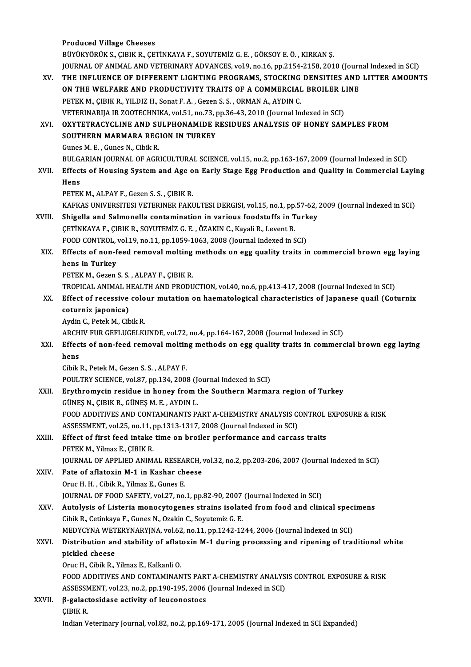|        | <b>Produced Village Cheeses</b>                                                                                                                      |
|--------|------------------------------------------------------------------------------------------------------------------------------------------------------|
|        | BÜYÜKYÖRÜK S., ÇIBIK R., ÇETİNKAYA F., SOYUTEMİZ G. E. , GÖKSOY E. Ö. , KIRKAN Ş.                                                                    |
|        | JOURNAL OF ANIMAL AND VETERINARY ADVANCES, vol.9, no.16, pp.2154-2158, 2010 (Journal Indexed in SCI)                                                 |
| XV.    | THE INFLUENCE OF DIFFERENT LIGHTING PROGRAMS, STOCKING DENSITIES AND LITTER AMOUNTS                                                                  |
|        | ON THE WELFARE AND PRODUCTIVITY TRAITS OF A COMMERCIAL BROILER LINE                                                                                  |
|        | PETEK M., ÇIBIK R., YILDIZ H., Sonat F. A., Gezen S. S., ORMAN A., AYDIN C.                                                                          |
|        | VETERINARIJA IR ZOOTECHNIKA, vol.51, no.73, pp.36-43, 2010 (Journal Indexed in SCI)                                                                  |
| XVI.   | OXYTETRACYCLINE AND SULPHONAMIDE RESIDUES ANALYSIS OF HONEY SAMPLES FROM                                                                             |
|        | SOUTHERN MARMARA REGION IN TURKEY                                                                                                                    |
|        | Gunes M. E., Gunes N., Cibik R.                                                                                                                      |
|        | BULGARIAN JOURNAL OF AGRICULTURAL SCIENCE, vol.15, no.2, pp.163-167, 2009 (Journal Indexed in SCI)                                                   |
| XVII.  | Effects of Housing System and Age on Early Stage Egg Production and Quality in Commercial Laying                                                     |
|        | Hens                                                                                                                                                 |
|        | PETEK M., ALPAY F., Gezen S. S., ÇIBIK R.                                                                                                            |
|        | KAFKAS UNIVERSITESI VETERINER FAKULTESI DERGISI, vol.15, no.1, pp.57-62, 2009 (Journal Indexed in SCI)                                               |
| XVIII. | Shigella and Salmonella contamination in various foodstuffs in Turkey                                                                                |
|        | ÇETİNKAYA F., ÇIBIK R., SOYUTEMİZ G. E., ÖZAKIN C., Kayali R., Levent B.<br>FOOD CONTROL, vol.19, no.11, pp.1059-1063, 2008 (Journal Indexed in SCI) |
| XIX.   | Effects of non-feed removal molting methods on egg quality traits in commercial brown egg laying                                                     |
|        | hens in Turkey                                                                                                                                       |
|        | PETEK M., Gezen S. S., ALPAY F., ÇIBIK R.                                                                                                            |
|        | TROPICAL ANIMAL HEALTH AND PRODUCTION, vol.40, no.6, pp.413-417, 2008 (Journal Indexed in SCI)                                                       |
| XX.    | Effect of recessive colour mutation on haematological characteristics of Japanese quail (Coturnix                                                    |
|        | coturnix japonica)                                                                                                                                   |
|        | Aydin C., Petek M., Cibik R.                                                                                                                         |
|        | ARCHIV FUR GEFLUGELKUNDE, vol.72, no.4, pp.164-167, 2008 (Journal Indexed in SCI)                                                                    |
| XXI.   | Effects of non-feed removal molting methods on egg quality traits in commercial brown egg laying                                                     |
|        | hens                                                                                                                                                 |
|        | Cibik R., Petek M., Gezen S. S., ALPAY F.                                                                                                            |
|        | POULTRY SCIENCE, vol.87, pp.134, 2008 (Journal Indexed in SCI)                                                                                       |
| XXII.  | Erythromycin residue in honey from the Southern Marmara region of Turkey                                                                             |
|        | GÜNES N., CIBIK R., GÜNES M. E., AYDIN L.                                                                                                            |
|        | FOOD ADDITIVES AND CONTAMINANTS PART A-CHEMISTRY ANALYSIS CONTROL EXPOSURE & RISK                                                                    |
|        | ASSESSMENT, vol.25, no.11, pp.1313-1317, 2008 (Journal Indexed in SCI)                                                                               |
| XXIII. | Effect of first feed intake time on broiler performance and carcass traits<br>PETEK M., Yilmaz E., ÇIBIK R.                                          |
|        | JOURNAL OF APPLIED ANIMAL RESEARCH, vol.32, no.2, pp.203-206, 2007 (Journal Indexed in SCI)                                                          |
| XXIV.  | Fate of aflatoxin M-1 in Kashar cheese                                                                                                               |
|        | Oruc H. H., Cibik R., Yilmaz E., Gunes E.                                                                                                            |
|        | JOURNAL OF FOOD SAFETY, vol.27, no.1, pp.82-90, 2007 (Journal Indexed in SCI)                                                                        |
| XXV.   | Autolysis of Listeria monocytogenes strains isolated from food and clinical specimens                                                                |
|        | Cibik R., Cetinkaya F., Gunes N., Ozakin C., Soyutemiz G. E.                                                                                         |
|        | MEDYCYNA WETERYNARYJNA, vol.62, no.11, pp.1242-1244, 2006 (Journal Indexed in SCI)                                                                   |
| XXVI.  | Distribution and stability of aflatoxin M-1 during processing and ripening of traditional white                                                      |
|        | pickled cheese                                                                                                                                       |
|        | Oruc H., Cibik R., Yilmaz E., Kalkanli O.                                                                                                            |
|        | FOOD ADDITIVES AND CONTAMINANTS PART A-CHEMISTRY ANALYSIS CONTROL EXPOSURE & RISK                                                                    |
|        | ASSESSMENT, vol.23, no.2, pp.190-195, 2006 (Journal Indexed in SCI)                                                                                  |
| XXVII. | β-galactosidase activity of leuconostocs                                                                                                             |
|        | <b>CIBIK R.</b>                                                                                                                                      |
|        | Indian Veterinary Journal, vol.82, no.2, pp.169-171, 2005 (Journal Indexed in SCI Expanded)                                                          |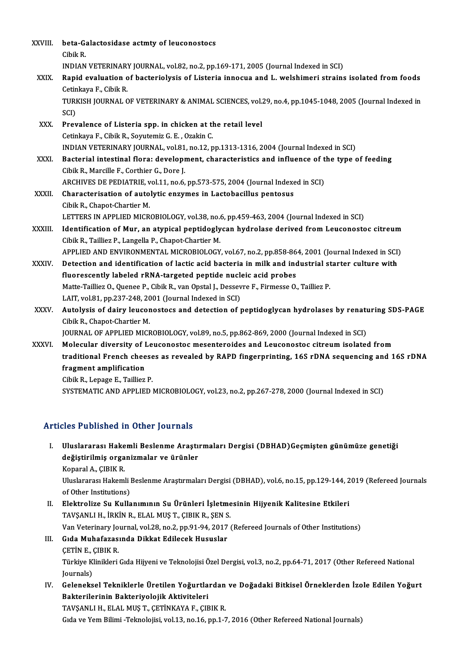| XXVIII.      | beta-Galactosidase actmty of leuconostocs<br>Cibik R.                                                                                                 |
|--------------|-------------------------------------------------------------------------------------------------------------------------------------------------------|
|              | INDIAN VETERINARY JOURNAL, vol.82, no.2, pp.169-171, 2005 (Journal Indexed in SCI)                                                                    |
| XXIX.        | Rapid evaluation of bacteriolysis of Listeria innocua and L. welshimeri strains isolated from foods<br>Cetinkaya F, Cibik R.                          |
|              | TURKISH JOURNAL OF VETERINARY & ANIMAL SCIENCES, vol.29, no.4, pp.1045-1048, 2005 (Journal Indexed in<br>SCI)                                         |
| XXX.         | Prevalence of Listeria spp. in chicken at the retail level                                                                                            |
|              | Cetinkaya F., Cibik R., Soyutemiz G. E., Ozakin C.                                                                                                    |
|              | INDIAN VETERINARY JOURNAL, vol.81, no.12, pp.1313-1316, 2004 (Journal Indexed in SCI)                                                                 |
| XXXI.        | Bacterial intestinal flora: development, characteristics and influence of the type of feeding                                                         |
|              | Cibik R., Marcille F., Corthier G., Dore J.                                                                                                           |
|              | ARCHIVES DE PEDIATRIE, vol.11, no.6, pp.573-575, 2004 (Journal Indexed in SCI)                                                                        |
| <b>XXXII</b> | Characterisation of autolytic enzymes in Lactobacillus pentosus                                                                                       |
|              | Cibik R., Chapot-Chartier M.                                                                                                                          |
|              | LETTERS IN APPLIED MICROBIOLOGY, vol.38, no.6, pp.459-463, 2004 (Journal Indexed in SCI)                                                              |
| XXXIII.      | Identification of Mur, an atypical peptidoglycan hydrolase derived from Leuconostoc citreum<br>Cibik R., Tailliez P., Langella P., Chapot-Chartier M. |
|              | APPLIED AND ENVIRONMENTAL MICROBIOLOGY, vol.67, no.2, pp.858-864, 2001 (Journal Indexed in SCI)                                                       |
| XXXIV.       | Detection and identification of lactic acid bacteria in milk and industrial starter culture with                                                      |
|              | fluorescently labeled rRNA-targeted peptide nucleic acid probes                                                                                       |
|              | Matte-Tailliez O., Quenee P., Cibik R., van Opstal J., Dessevre F., Firmesse O., Tailliez P.                                                          |
|              | LAIT, vol.81, pp.237-248, 2001 (Journal Indexed in SCI)                                                                                               |
| XXXV.        | Autolysis of dairy leuconostocs and detection of peptidoglycan hydrolases by renaturing SDS-PAGE<br>Cibik R., Chapot-Chartier M.                      |
|              | JOURNAL OF APPLIED MICROBIOLOGY, vol.89, no.5, pp.862-869, 2000 (Journal Indexed in SCI)                                                              |
| <b>XXXVI</b> | Molecular diversity of Leuconostoc mesenteroides and Leuconostoc citreum isolated from                                                                |
|              | traditional French cheeses as revealed by RAPD fingerprinting, 16S rDNA sequencing and 16S rDNA                                                       |
|              | fragment amplification                                                                                                                                |
|              | Cibik R., Lepage E., Tailliez P.                                                                                                                      |
|              | SYSTEMATIC AND APPLIED MICROBIOLOGY, vol.23, no.2, pp.267-278, 2000 (Journal Indexed in SCI)                                                          |

# Articles Published in Other Journals

rticles Published in Other Journals<br>I. Uluslararası Hakemli Beslenme Araştırmaları Dergisi (DBHAD)Geçmişten günümüze genetiği<br>doğistirilmiş organizmalar ve ürünler değiştirilmiş organizmalar ve ürünler<br>Uluslararası Hakemli Beslenme Araştı<br>değiştirilmiş organizmalar ve ürünler Uluslararası Hake<br>değiştirilmiş orga<br>Koparal A., ÇIBIK R.<br>Uluslararası Hakeml değiştirilmiş organizmalar ve ürünler<br>Koparal A., ÇIBIK R.<br>Uluslararası Hakemli Beslenme Araştırmaları Dergisi (DBHAD), vol.6, no.15, pp.129-144, 2019 (Refereed Journals<br>of Other Institutione)

Koparal A., ÇIBIK R.<br>Uluslararası Hakemli I<br>of Other Institutions)<br>Flaktralize Su Kulla Uluslararası Hakemli Beslenme Araştırmaları Dergisi (DBHAD), vol.6, no.15, pp.129-144, 2<br>of Other Institutions)<br>II. Elektrolize Su Kullanımının Su Ürünleri İşletmesinin Hijyenik Kalitesine Etkileri<br>TAVSANLLH İRKİN RELAL MI

of Other Institutions)<br>II. Elektrolize Su Kullanımının Su Ürünleri İşletmesinin Hijyenik Kalitesine Etkileri<br>TAVŞANLI H., İRKİN R., ELAL MUŞ T., ÇIBIK R., ŞEN S. Van Veterinary Journal, vol.28, no.2, pp.91-94, 2017 (Refereed Journals of Other Institutions)

III. Gıda Muhafazasında Dikkat Edilecek Hususlar Van Veterinary Jo<br>Gı<mark>da Muhafazas</mark>.<br>ÇETİN E., ÇIBIK R.<br>Türkiye Klinikleri Türkiye Klinikleri Gıda Hijyeni ve Teknolojisi Özel Dergisi, vol.3, no.2, pp.64-71, 2017 (Other Refereed National Journals) ÇETİN E., (<br>Türkiye K<br>Journals)<br>Celeneka

Türkiye Klinikleri Gıda Hijyeni ve Teknolojisi Özel Dergisi, vol.3, no.2, pp.64-71, 2017 (Other Refereed National<br>Journals)<br>IV. Geleneksel Tekniklerle Üretilen Yoğurtlardan ve Doğadaki Bitkisel Örneklerden İzole Edilen Yoğ Journals)<br>Geleneksel Tekniklerle Üretilen Yoğurtla<br>Bakterilerinin Bakteriyolojik Aktiviteleri<br>TAVSANLLH, ELAL MUS T. GETİNKAYA E. GE Bakterilerinin Bakteriyolojik Aktiviteleri<br>TAVŞANLI H., ELAL MUŞ T., ÇETİNKAYA F., ÇIBIK R.

Gıda ve Yem Bilimi -Teknolojisi, vol.13, no.16, pp.1-7, 2016 (Other Refereed National Journals)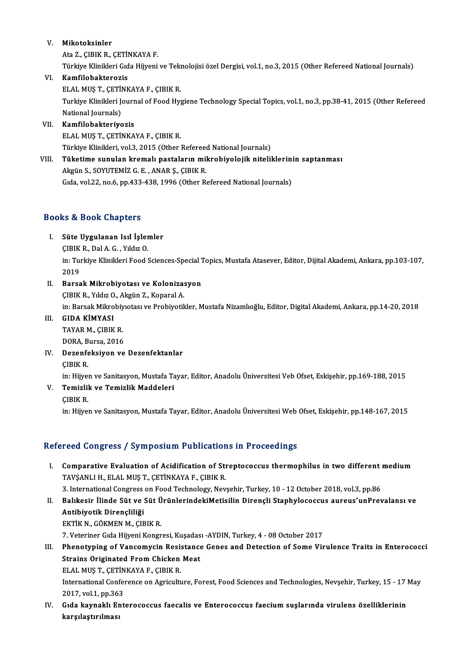# V. Mikotoksinler

Ata Z., ÇIBIK R., ÇETİNKAYA F. Türkiye Klinikleri Gıda Hijyeni ve Teknolojisi özel Dergisi, vol.1, no.3, 2015 (Other Refereed National Journals)

# VI. Kamfilobakterozis

Türkiye Klinikleri Gıda Hijyeni ve Tek<mark>l</mark><br>**Kamfilobakterozis**<br>ELAL MUŞ T., ÇETİNKAYA F., ÇIBIK R.<br>Turkiye Klinikleri Journal of Food Hyr

Turkiye Klinikleri Journal of Food Hygiene Technology Special Topics, vol.1, no.3, pp.38-41, 2015 (Other Refereed<br>National Journals) ELAL MUŞ T., ÇETİI<br>Turkiye Klinikleri Je<br>National Journals)<br>Kamfilobaktariye

# VII. Kamfilobakteriyozis

ELAL MUS T., ÇETİNKAYA F., ÇIBIK R.

Kamfilobakteriyozis<br>ELAL MUŞ T., ÇETİNKAYA F., ÇIBIK R.<br>Türkiye Klinikleri, vol.3, 2015 (Other Refereed National Journals)<br>Tüketime sunulan kremalı nastaların mikrobiyolojik nitelil

ELAL MUŞ T., ÇETİNKAYA F., ÇIBIK R.<br>Türkiye Klinikleri, vol.3, 2015 (Other Refereed National Journals)<br>VIII. Tüketime sunulan kremalı pastaların mikrobiyolojik niteliklerinin saptanması<br>Akgün S. SOVUTEMİZ G. E., ANAB S Türkiye Klinikleri, vol.3, 2015 (Other Refereed<br>Tüketime sunulan kremalı pastaların mil<br>Akgün S., SOYUTEMİZ G. E. , ANAR Ş., ÇIBIK R.<br>Cıda vol.33, na 6, nn.433,438,1996 (Other B. Tüketime sunulan kremalı pastaların mikrobiyolojik niteliklerini<br>Akgün S., SOYUTEMİZ G. E. , ANAR Ş., ÇIBIK R.<br>Gıda, vol.22, no.6, pp.433-438, 1996 (Other Refereed National Journals) Gıda, vol.22, no.6, pp.433-438, 1996 (Other Refereed National Journals)<br>Books & Book Chapters

# ooks & Book Chapters<br>I. Süte Uygulanan Isıl İşlemler<br>CIBIK Bobl A.C. Yıldır O ra di book emapleris<br>Süte Uygulanan Isıl İşler<br>ÇIBIK R., Dal A. G. , Yıldız O.

Süte Uygulanan Isıl İşlemler<br>ÇIBIK R., Dal A. G. , Yıldız O.<br>in: Turkiye Klinikleri Food Sciences-Special Topics, Mustafa Atasever, Editor, Dijital Akademi, Ankara, pp.103-107,<br>2019 CIBIK<br>in: Tul<br>2019<br>Barsa in: Turkiye Klinikleri Food Sciences-Special 1<br>2019<br>II. Barsak Mikrobiyotası ve Kolonizasyon<br>CIPIK B. Vikiy O. Akgün 7. Konaral A

- 2019<br>Barsak Mikrobiyotası ve Koloniza:<br>ÇIBIK R., Yıldız O., Akgün Z., Koparal A.<br>in: Barsak Mikrobiyotası ve Probiyotil Barsak Mikrobiyotası ve Kolonizasyon<br>ÇIBIK R., Yıldız O., Akgün Z., Koparal A.<br>in: Barsak Mikrobiyıotası ve Probiyotikler, Mustafa Nizamlıoğlu, Editor, Digital Akademi, Ankara, pp.14-20, 2018<br>CIDA KİMYASI ÇIBIK R., Yıldız O., Akgün Z., Koparal A.<br>in: Barsak Mikrobiyıotası ve Probiyotik<br>III. GIDA KİMYASI
- in: Barsak Mikrobiy<br>GIDA KİMYASI<br>TAYAR M., ÇIBIK R.<br>DOBA Bursa 2016 TAYAR M., CIBIK R. DORA, Bursa, 2016
- IV. Dezenfeksiyon ve Dezenfektanlar

Dezenfeksiyon ve Dezenfektanlar<br>ÇIBIK R.<br>in: Hijyen ve Sanitasyon, Mustafa Tayar, Editor, Anadolu Üniversitesi Veb Ofset, Eskişehir, pp.169-188, 2015<br>Temizlik ve Temizlik Meddeleri

V. Temizlik ve Temizlik Maddeleri<br>CIBIK R. in: Hijye<mark>:</mark><br>Temizlil<br>ÇIBIK R.<br>in: Hijye:

in: Hijyen ve Sanitasyon, Mustafa Tayar, Editor, Anadolu Üniversitesi Web Ofset, Eskişehir, pp.148-167, 2015

# Refereed Congress / Symposium Publications in Proceedings

efereed Congress / Symposium Publications in Proceedings<br>I. Comparative Evaluation of Acidification of Streptococcus thermophilus in two different medium<br>TAVSANLLH, ELAL MUST, CETINKAVA E, CIPIK P TOOR OORGI OOP JAHR OSTAHIYA MOROKOOP<br>Comparative Evaluation of Acidification of Str<br>TAVŞANLI H., ELAL MUŞ T., ÇETİNKAYA F., ÇIBIK R. 3. Comparative Evaluation of Acidification of Streptococcus thermophilus in two different<br>TAVŞANLI H., ELAL MUŞ T., ÇETİNKAYA F., ÇIBIK R.<br>3. International Congress on Food Technology, Nevşehir, Turkey, 10 - 12 October 201

I . Balıkesir İlinde Süt ve Süt ÜrünlerindekiMetisilin Dirençli Staphylococcus aureus'unPrevalansı ve Antibiyotik Dirençliliği<br>II. Balıkesir İlinde Süt ve Süt ÜrünlerindekiMetisilin Dirençli Staphylococcus aureus'unPrevala 3. International Congress<br>Balıkesir İlinde Süt ve :<br>Antibiyotik Dirençliliği<br>Ektik N. GÖKMEN M. CIE

EKTİK N., GÖKMEN M., ÇIBIK R.

7. Veteriner Gıda Hijyeni Kongresi, Kuşadası -AYDIN, Turkey, 4 - 08 October 2017

- III. Phenotyping of Vancomycin Resistance Genes and Detection of Some Virulence Traits in Enterococci 7. Veteriner Gıda Hijyeni Kongresi, Kuşadas<br>Phenotyping of Vancomycin Resistance<br>Strains Originated From Chicken Meat<br>ELAL MIS T. CETINKAYA E. CIPIK P. Phenotyping of Vancomycin Resis<br>Strains Originated From Chicken<br>ELAL MUŞ T., ÇETİNKAYA F., ÇIBIK R.<br>International Conference on Agricult. International Conference on Agriculture, Forest, Food Sciences and Technologies, Nevşehir, Turkey, 15 - 17 May ELAL MUS T., CETİNKAYA F., CIBIK R. 2017, vol 1, pp 363
- IV. Gıda kaynaklı Enterococcus faecalis ve Enterococcus faecium suşlarında virulens özelliklerinin<br>karşılaştırılması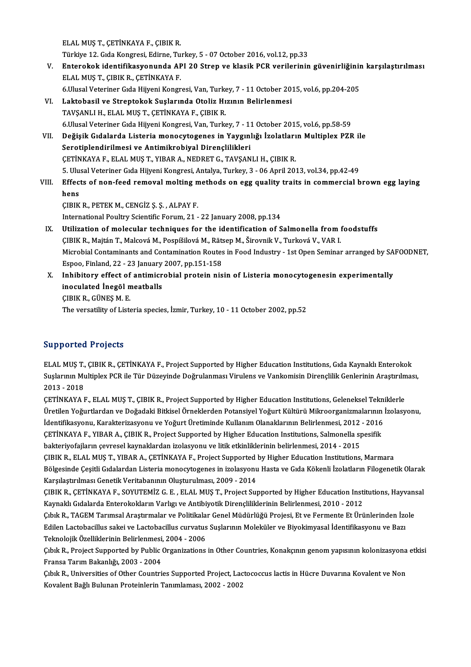ELALMUŞT.,ÇETİNKAYAF.,ÇIBIKR.

ELAL MUŞ T., ÇETİNKAYA F., ÇIBIK R.<br>Türkiye 12. Gıda Kongresi, Edirne, Turkey, 5 - 07 October 2016, vol.12, pp.33<br>Enterakak identifikasyanunda ABI 30 Stran ve klasik PCB yarilarının

- ELAL MUŞ T., ÇETİNKAYA F., ÇIBIK R.<br>Türkiye 12. Gıda Kongresi, Edirne, Turkey, 5 07 October 2016, vol.12, pp.33<br>V. Enterokok identifikasyonunda API 20 Strep ve klasik PCR verilerinin güvenirliğinin karşılaştırılması<br> Türkiye 12. Gıda Kongresi, Edirne, Tu<br>Enterokok identifikasyonunda AF.<br>ELAL MUŞ T., ÇIBIK R., ÇETİNKAYA F.<br>6 Ulusal Vatariner Cıda Hüyeni Kongr Enterokok identifikasyonunda API 20 Strep ve klasik PCR verilerinin güvenirliğinin<br>ELAL MUŞ T., ÇIBIK R., ÇETİNKAYA F.<br>6.Ulusal Veteriner Gıda Hijyeni Kongresi, Van, Turkey, 7 - 11 October 2015, vol.6, pp.204-205<br>Laktobasi ELAL MUŞ T., ÇIBIK R., ÇETİNKAYA F.<br>6.Ulusal Veteriner Gıda Hijyeni Kongresi, Van, Turkey, 7 - 11 October 2015, vol.6, pp.204-205<br>1. Laktobasil ve Streptokok Suşlarında Otoliz Hızının Belirlenmesi
	-
- TAVŞANLI H., ELAL MUŞ T., ÇETİNKAYA F., ÇIBIK R. 6.UlusalVeterinerGıdaHijyeniKongresi,Van,Turkey,7 -11October 2015,vol.6,pp.58-59 TAVŞANLI H., ELAL MUŞ T., ÇETİNKAYA F., ÇIBIK R.<br>6.Ulusal Veteriner Gıda Hijyeni Kongresi, Van, Turkey, 7 - 11 October 2015, vol.6, pp.58-59<br>11. Değişik Gıdalarda Listeria monocytogenes in Yaygınlığı İzolatların Multiplex
- Serotiplendirilmesi ve Antimikrobiyal Dirençlilikleri<br>ÇETİNKAYA F., ELAL MUŞ T., YIBAR A., NEDRET G., TAVŞANLI H., ÇIBIK R. Değişik Gıdalarda Listeria monocytogenes in Yaygınlığı İzolatları<br>Serotiplendirilmesi ve Antimikrobiyal Dirençlilikleri<br>ÇETİNKAYA F., ELAL MUŞ T., YIBAR A., NEDRET G., TAVŞANLI H., ÇIBIK R.<br>5. Ulucel Veteriner Cıda Hüyeni 5. Ulusal Veteriner Gıda Hijyeni Kongresi, Antalya, Turkey, 3 - 06 April 2013, vol.34, pp.42-49 CETİNKAYA F., ELAL MUŞ T., YIBAR A., NEDRET G., TAVŞANLI H., ÇIBIK R.<br>5. Ulusal Veteriner Gıda Hijyeni Kongresi, Antalya, Turkey, 3 - 06 April 2013, vol.34, pp.42-49<br>11. Effects of non-feed removal molting methods on egg q
- 5. Ulu<br>Effect<br>hens<br>CIPIV hens<br>ÇIBIK R., PETEK M., CENGİZ Ş. Ş. , ALPAY F.

International Poultry Scientific Forum, 21 - 22 January 2008, pp.134

- CIBIK R., PETEK M., CENGIZ S. S., ALPAY F.<br>International Poultry Scientific Forum, 21 22 January 2008, pp.134<br>IX. Utilization of molecular techniques for the identification of Salmonella from foodstuffs<br>CIBIK B. Maith T. International Poultry Scientific Forum, 21 - 22 January 2008, pp.134<br>Utilization of molecular techniques for the identification of Salmonella from f<br>ÇIBIK R., Majtán T., Malcová M., Pospíšilová M., Rätsep M., Širovnik V., Utilization of molecular techniques for the identification of Salmonella from foodstuffs<br>ÇIBIK R., Majtán T., Malcová M., Pospíšilová M., Rätsep M., Širovnik V., Turková V., VAR I.<br>Microbial Contaminants and Contamination CIBIK R., Majtán T., Malcová M., Pospíšilová M., Räts<br>Microbial Contaminants and Contamination Routes<br>Espoo, Finland, 22 - 23 January 2007, pp.151-158<br>Inhibitory offect of ontimismabial protein pie Microbial Contaminants and Contamination Routes in Food Industry - 1st Open Seminar arranged by SA<br>Espoo, Finland, 22 - 23 January 2007, pp.151-158<br>X. Inhibitory effect of antimicrobial protein nisin of Listeria monocytoge
- Espoo, Finland, 22 23 January 2007, pp.151-158<br>Inhibitory effect of antimicrobial protein nis<br>inoculated Inegöl meatballs<br>CIBIK R., GÜNES M. E. X. Inhibitory effect of antimicrobial protein nisin of Listeria monocytogenesin experimentally The versatility of Listeria species, İzmir, Turkey, 10 - 11 October 2002, pp.52

# Supported Projects

ELAL MUŞ T., ÇIBIK R., ÇETİNKAYA F., Project Supported by Higher Education Institutions, Gıda Kaynaklı Enterokok Supportser Frojsses<br>ELAL MUŞ T., ÇIBIK R., ÇETİNKAYA F., Project Supported by Higher Education Institutions, Gıda Kaynaklı Enterokok<br>Suşlarının Multiplex PCR ile Tür Düzeyinde Doğrulanması Virulens ve Vankomisin Dirençlili ELAL MUŞ T.,<br>Suşlarının Mu<br>2013 - 2018<br>CETİNKANA I Suşlarının Multiplex PCR ile Tür Düzeyinde Doğrulanması Virulens ve Vankomisin Dirençlilik Genlerinin Araştırılm<br>2013 - 2018<br>ÇETİNKAYA F., ELAL MUŞ T., ÇIBIK R., Project Supported by Higher Education Institutions, Geleneks

2013 - 2018<br>ÇETİNKAYA F., ELAL MUŞ T., ÇIBIK R., Project Supported by Higher Education Institutions, Geleneksel Tekniklerle<br>Üretilen Yoğurtlardan ve Doğadaki Bitkisel Örneklerden Potansiyel Yoğurt Kültürü Mikroorganizmalar ÇETİNKAYA F., ELAL MUŞ T., ÇIBIK R., Project Supported by Higher Education Institutions, Geleneksel Tekniklerle Üretilen Yoğurtlardan ve Doğadaki Bitkisel Örneklerden Potansiyel Yoğurt Kültürü Mikroorganizmalarının<br>İdentifikasyonu, Karakterizasyonu ve Yoğurt Üretiminde Kullanım Olanaklarının Belirlenmesi, 2012 - 2016<br>ÇETİNKAYA F., Y İdentifikasyonu, Karakterizasyonu ve Yoğurt Üretiminde Kullanım Olanaklarının Belirlenmesi, 2012<br>ÇETİNKAYA F., YIBAR A., ÇIBIK R., Project Supported by Higher Education Institutions, Salmonella sp<br>bakteriyofajların çevrese ÇETİNKAYA F., YIBAR A., ÇIBIK R., Project Supported by Higher Education Institutions, Salmonella spesifik<br>bakteriyofajların çevresel kaynaklardan izolasyonu ve litik etkinliklerinin belirlenmesi, 2014 - 2015<br>ÇIBIK R., ELAL bakteriyofajların çevresel kaynaklardan izolasyonu ve litik etkinliklerinin belirlenmesi, 2014 - 2015<br>ÇIBIK R., ELAL MUŞ T., YIBAR A., ÇETİNKAYA F., Project Supported by Higher Education Institutions, Marmara<br>Bölgesinde Çe ÇIBIK R., ELAL MUŞ T., YIBAR A., ÇETİNKAYA F., Project Supported<br>Bölgesinde Çeşitli Gıdalardan Listeria monocytogenes in izolasyonu<br>Karşılaştırılması Genetik Veritabanının Oluşturulması, 2009 - 2014<br>CIRIK R., GETİNKAYA E. Bölgesinde Çeşitli Gıdalardan Listeria monocytogenes in izolasyonu Hasta ve Gıda Kökenli İzolatların Filogenetik Olarak<br>Karşılaştırılması Genetik Veritabanının Oluşturulması, 2009 - 2014<br>ÇIBIK R., ÇETİNKAYA F., SOYUTEMİZ G

Karşılaştırılması Genetik Veritabanının Oluşturulması, 2009 - 2014<br>ÇIBIK R., ÇETİNKAYA F., SOYUTEMİZ G. E. , ELAL MUŞ T., Project Supported by Higher Education Insti<br>Kaynaklı Gıdalarda Enterokokların Varlıgı ve Antibiyotik ÇIBIK R., ÇETİNKAYA F., SOYUTEMİZ G. E. , ELAL MUŞ T., Project Supported by Higher Education Institutions, Hayvans<br>Kaynaklı Gıdalarda Enterokokların Varlıgı ve Antibiyotik Dirençliliklerinin Belirlenmesi, 2010 - 2012<br>Çıbık

Kaynaklı Gıdalarda Enterokokların Varlıgı ve Antibiyotik Dirençliliklerinin Belirlenmesi, 2010 - 2012<br>Çıbık R., TAGEM Tarımsal Araştırmalar ve Politikalar Genel Müdürlüğü Projesi, Et ve Fermente Et Ürünlerinden İz<br>Edilen L Çıbık R., TAGEM Tarımsal Araştırmalar ve Politikala<br>Edilen Lactobacillus sakei ve Lactobacillus curvatus<br>Teknolojik Özelliklerinin Belirlenmesi, 2004 - 2006<br>Cıbık B., Preject Sunnarted by Publis Organizations Edilen Lactobacillus sakei ve Lactobacillus curvatus Suşlarının Moleküler ve Biyokimyasal İdentifikasyonu ve Bazı<br>Teknolojik Özelliklerinin Belirlenmesi, 2004 - 2006<br>Çıbık R., Project Supported by Public Organizations in O

Teknolojik Özelliklerinin Belirlenmesi,<br>Çıbık R., Project Supported by Public<br>Fransa Tarım Bakanlığı, 2003 - 2004<br>Cıbık B., Universities of Other Countri Çıbık R., Project Supported by Public Organizations in Other Countries, Konakçının genom yapısının kolonizasyona<br>Fransa Tarım Bakanlığı, 2003 - 2004<br>Çıbık R., Universities of Other Countries Supported Project, Lactococcus

Fransa Tarım Bakanlığı, 2003 - 2004<br>Çıbık R., Universities of Other Countries Supported Project, Lactococcus lactis in Hücre Duvarına Kovalent ve Non<br>Kovalent Bağlı Bulunan Proteinlerin Tanımlaması, 2002 - 2002